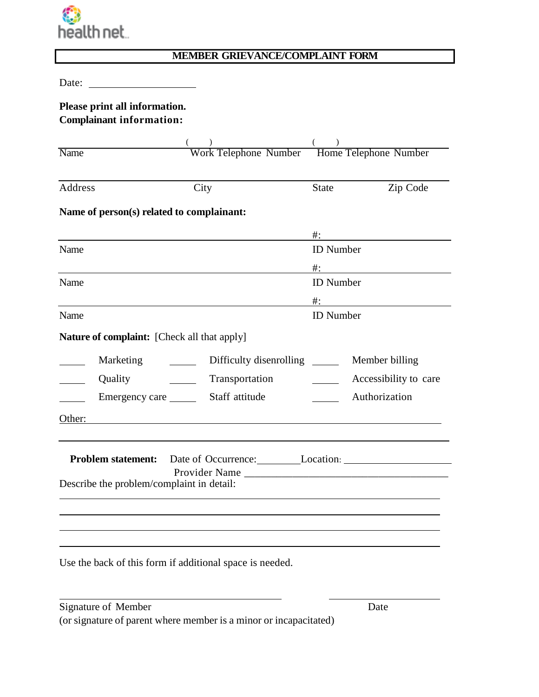

## **MEMBER GRIEVANCE/COMPLAINT FORM**

Date:

## **Please print all information. Complainant information:**

| Name                                               |                                         |                                |                  | $\overrightarrow{\text{Work Telephone Number}}$ Home Telephone Number |  |
|----------------------------------------------------|-----------------------------------------|--------------------------------|------------------|-----------------------------------------------------------------------|--|
| Address                                            |                                         | City                           | <b>State</b>     | Zip Code                                                              |  |
| Name of person(s) related to complainant:          |                                         |                                |                  |                                                                       |  |
|                                                    |                                         |                                | #:               |                                                                       |  |
| Name                                               |                                         |                                | <b>ID</b> Number |                                                                       |  |
|                                                    |                                         |                                | $\#$ :           |                                                                       |  |
| Name<br><b>ID</b> Number                           |                                         |                                |                  |                                                                       |  |
|                                                    |                                         |                                | $\#$ :           |                                                                       |  |
| Name                                               |                                         |                                | <b>ID</b> Number |                                                                       |  |
| <b>Nature of complaint:</b> [Check all that apply] |                                         |                                |                  |                                                                       |  |
| Marketing<br>$\frac{1}{2}$                         |                                         | Difficulty disenrolling ______ |                  | Member billing                                                        |  |
| Quality                                            |                                         | Transportation                 |                  | Accessibility to care                                                 |  |
|                                                    | Emergency care _________ Staff attitude |                                |                  | Authorization                                                         |  |
| Other:                                             |                                         |                                |                  |                                                                       |  |
| Describe the problem/complaint in detail:          |                                         | Provider Name                  |                  | <b>Problem statement:</b> Date of Occurrence: Location: Location:     |  |
|                                                    |                                         |                                |                  |                                                                       |  |
|                                                    |                                         |                                |                  |                                                                       |  |

Use the back of this form if additional space is needed.

| Signature of Member                                               | Date |
|-------------------------------------------------------------------|------|
| (or signature of parent where member is a minor or incapacitated) |      |